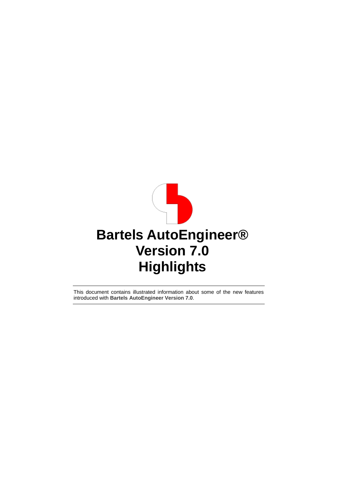<span id="page-0-0"></span>

This document contains illustrated information about some of the new features introduced with **Bartels AutoEngineer Version 7.0**.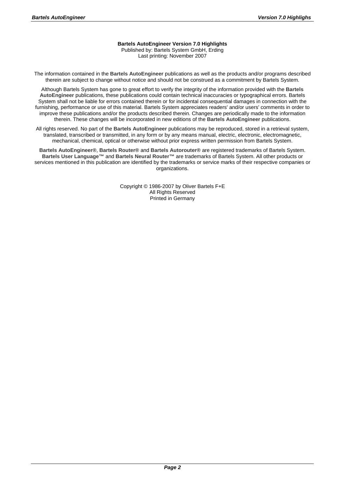#### **Bartels AutoEngineer Version 7.0 Highlights**

Published by: Bartels System GmbH, Erding Last printing: November 2007

The information contained in the **Bartels AutoEngineer** publications as well as the products and/or programs described therein are subject to change without notice and should not be construed as a commitment by Bartels System.

Although Bartels System has gone to great effort to verify the integrity of the information provided with the **Bartels AutoEngineer** publications, these publications could contain technical inaccuracies or typographical errors. Bartels System shall not be liable for errors contained therein or for incidental consequential damages in connection with the furnishing, performance or use of this material. Bartels System appreciates readers' and/or users' comments in order to improve these publications and/or the products described therein. Changes are periodically made to the information therein. These changes will be incorporated in new editions of the **Bartels AutoEngineer** publications.

All rights reserved. No part of the **Bartels AutoEngineer** publications may be reproduced, stored in a retrieval system, translated, transcribed or transmitted, in any form or by any means manual, electric, electronic, electromagnetic, mechanical, chemical, optical or otherwise without prior express written permission from Bartels System.

**Bartels AutoEngineer®**, **Bartels Router®** and **Bartels Autorouter®** are registered trademarks of Bartels System. **Bartels User Language™** and **Bartels Neural Router™** are trademarks of Bartels System. All other products or services mentioned in this publication are identified by the trademarks or service marks of their respective companies or organizations.

> Copyright © 1986-2007 by Oliver Bartels F+E All Rights Reserved Printed in Germany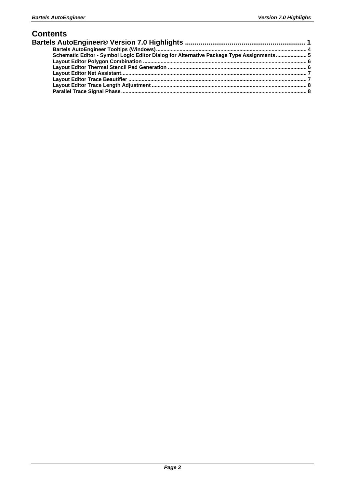#### **Contents**

| Schematic Editor - Symbol Logic Editor Dialog for Alternative Package Type Assignments 5 |  |
|------------------------------------------------------------------------------------------|--|
|                                                                                          |  |
|                                                                                          |  |
|                                                                                          |  |
|                                                                                          |  |
|                                                                                          |  |
|                                                                                          |  |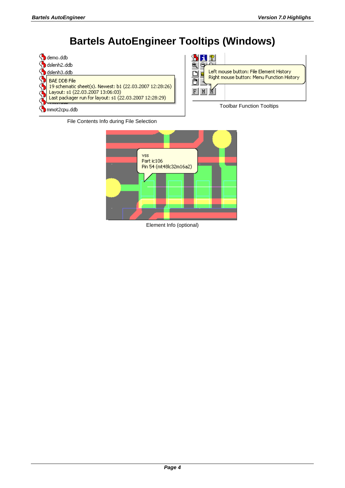## **Bartels AutoEngineer Tooltips (Windows)**

<span id="page-3-0"></span>



Toolbar Function Tooltips





Element Info (optional)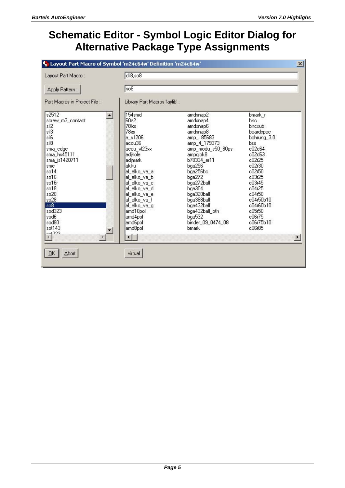#### <span id="page-4-0"></span>**Schematic Editor - Symbol Logic Editor Dialog for Alternative Package Type Assignments**

| Layout Part Macro:                                                                                                                                                                                                                                 | dil8,so8                                                                                                                                                                                                                                                                                                                                  |                                                                                                                                                                                                                                                                                                    |                                                                                                                                                                                                                             |  |
|----------------------------------------------------------------------------------------------------------------------------------------------------------------------------------------------------------------------------------------------------|-------------------------------------------------------------------------------------------------------------------------------------------------------------------------------------------------------------------------------------------------------------------------------------------------------------------------------------------|----------------------------------------------------------------------------------------------------------------------------------------------------------------------------------------------------------------------------------------------------------------------------------------------------|-----------------------------------------------------------------------------------------------------------------------------------------------------------------------------------------------------------------------------|--|
| Apply Pattern:                                                                                                                                                                                                                                     | so <sub>8</sub>                                                                                                                                                                                                                                                                                                                           |                                                                                                                                                                                                                                                                                                    |                                                                                                                                                                                                                             |  |
| Part Macros in Project File :                                                                                                                                                                                                                      | Library Part Macros 'laylib':                                                                                                                                                                                                                                                                                                             |                                                                                                                                                                                                                                                                                                    |                                                                                                                                                                                                                             |  |
| s2512<br>screw_m3_contact<br>sil <sub>2</sub><br>sil3<br>sil6<br>sil8<br>sma_edge<br>sma hs45111<br>sma_js1420711<br>smc<br>so14<br>so16<br>so16r<br>$s$ o $18$<br>so20<br>so28<br>s <sub>08</sub><br>sod323<br>sod6<br>sod80<br>sot143<br>$-1222$ | 154 <sub>smd</sub><br>$\blacktriangle$<br>60a2<br>78 <sub>kx</sub><br>78x<br>$a$ $s1206$<br>accu36<br>accu vl23xx<br>adjhole<br>adimark<br>lakku<br>al elko va a<br>al_elko_va_b<br>al elko va c<br>al_elko_va_d<br>al_elko_va_e<br>al elko va f<br>al elko va g<br>amd10pol<br>amd4pol<br>amd6pol<br>amd8pol<br>$\left\  \cdot \right\ $ | amdsnap2<br>amdsnap4<br>amdsnap6<br>amdsnap8<br>amp_185683<br>amp 4 179373<br>amp_modu_s50_80ps<br>ampglok8<br>b78334 er11<br>bqa256<br>bga256bc<br>bga272<br>bga272ball<br>$b$ ga $304$<br>bga320ball<br>bga388ball<br>bga432ball<br>bga432ball_pth<br>$b$ ga $532$<br>binder 09 0474 08<br>bmark | bmark_r<br>bnc.<br>bncsub<br>boardspec<br>bohrung 3.0<br>bsx<br>c02c64<br>c02d63<br>c02r25<br>c02r30<br>c02r50<br>c03r25<br>c03r45<br>c04r25<br>c04r50<br>c04r50b10<br>c04r60b10<br>c05r50<br>c06r75<br>c06r75b10<br>c06r85 |  |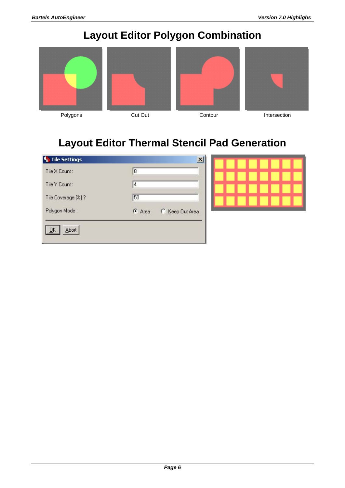# **Layout Editor Polygon Combination**

<span id="page-5-0"></span>







**Layout Editor Thermal Stencil Pad Generation** 

| Tile X Count:      | 18       |                 |
|--------------------|----------|-----------------|
| Tile Y Count:      | 14       |                 |
| Tile Coverage [%]? | 50       |                 |
| Polygon Mode:      | $G$ Area | C Keep Out Area |

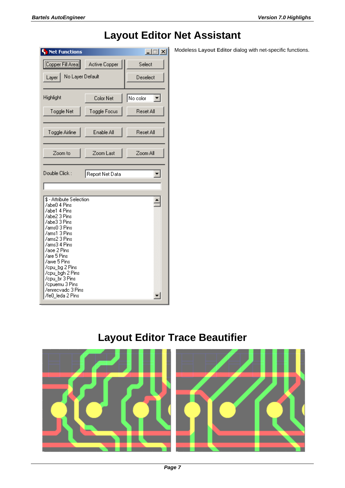<span id="page-6-0"></span>

| <b>F</b> Net Functions                                                                                                                                                                                                                                                                              |               | $\Box$ $\Box$ $\times$ |
|-----------------------------------------------------------------------------------------------------------------------------------------------------------------------------------------------------------------------------------------------------------------------------------------------------|---------------|------------------------|
| Copper Fill Area                                                                                                                                                                                                                                                                                    | Active Copper | Select                 |
| No Layer Default<br>Layer                                                                                                                                                                                                                                                                           |               | Deselect               |
| Highlight                                                                                                                                                                                                                                                                                           | Color Net     | No color               |
| Toggle Net                                                                                                                                                                                                                                                                                          | Toggle Focus  | Reset All              |
| Toggle Airline                                                                                                                                                                                                                                                                                      | Enable All    | <b>Reset All</b>       |
| Zoom to                                                                                                                                                                                                                                                                                             | Zoom Last     | Zoom All               |
| \$ - Attribute Selection<br>/abe0 4 Pins<br>/abe1 4 Pins<br>/abe2 3 Pins<br>/abe3 3 Pins<br>/ams0 3 Pins<br>/ams1 3 Pins<br>/ams2 3 Pins<br>/ams3 4 Pins<br>/aoe 2 Pins<br>/are 5 Pins<br>/awe 5 Pins<br>/cpu_bg 2 Pins<br>/cpu_bgh 2 Pins<br>/cpu_br 3 Pins<br>/opuemu 3 Pins<br>/enrecvado 3 Pins |               |                        |

## **Layout Editor Net Assistant**

Modeless **Layout Editor** dialog with net-specific functions.

## **Layout Editor Trace Beautifier**